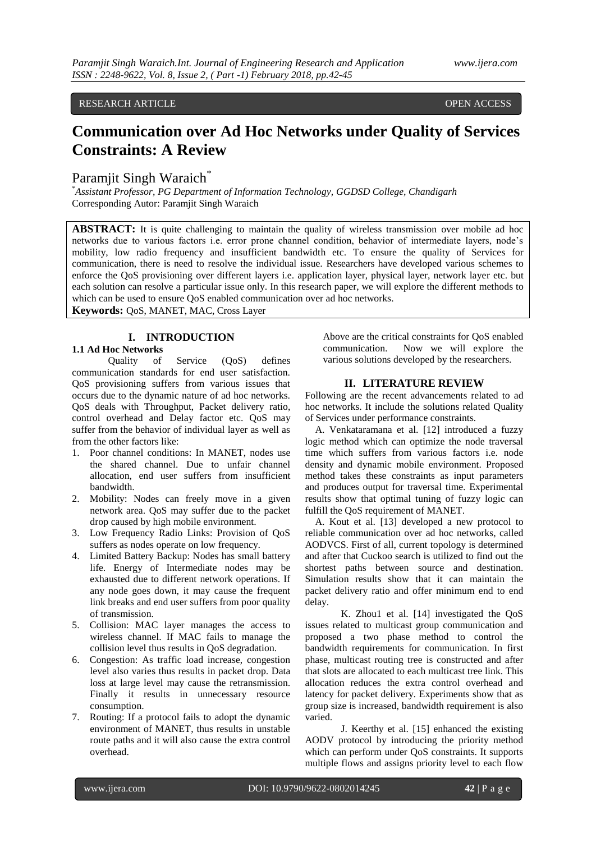# RESEARCH ARTICLE OPEN ACCESS

# **Communication over Ad Hoc Networks under Quality of Services Constraints: A Review**

# Paramjit Singh Waraich<sup>\*</sup>

\**Assistant Professor, PG Department of Information Technology, GGDSD College, Chandigarh* Corresponding Autor: Paramjit Singh Waraich

**ABSTRACT:** It is quite challenging to maintain the quality of wireless transmission over mobile ad hoc networks due to various factors i.e. error prone channel condition, behavior of intermediate layers, node's mobility, low radio frequency and insufficient bandwidth etc. To ensure the quality of Services for communication, there is need to resolve the individual issue. Researchers have developed various schemes to enforce the QoS provisioning over different layers i.e. application layer, physical layer, network layer etc. but each solution can resolve a particular issue only. In this research paper, we will explore the different methods to which can be used to ensure QoS enabled communication over ad hoc networks.

**Keywords:** QoS, MANET, MAC, Cross Layer

# **I. INTRODUCTION**

### **1.1 Ad Hoc Networks**

Quality of Service (QoS) defines communication standards for end user satisfaction. QoS provisioning suffers from various issues that occurs due to the dynamic nature of ad hoc networks. QoS deals with Throughput, Packet delivery ratio, control overhead and Delay factor etc. QoS may suffer from the behavior of individual layer as well as from the other factors like:

- 1. Poor channel conditions: In MANET, nodes use the shared channel. Due to unfair channel allocation, end user suffers from insufficient bandwidth.
- 2. Mobility: Nodes can freely move in a given network area. QoS may suffer due to the packet drop caused by high mobile environment.
- 3. Low Frequency Radio Links: Provision of QoS suffers as nodes operate on low frequency.
- 4. Limited Battery Backup: Nodes has small battery life. Energy of Intermediate nodes may be exhausted due to different network operations. If any node goes down, it may cause the frequent link breaks and end user suffers from poor quality of transmission.
- 5. Collision: MAC layer manages the access to wireless channel. If MAC fails to manage the collision level thus results in QoS degradation.
- 6. Congestion: As traffic load increase, congestion level also varies thus results in packet drop. Data loss at large level may cause the retransmission. Finally it results in unnecessary resource consumption.
- 7. Routing: If a protocol fails to adopt the dynamic environment of MANET, thus results in unstable route paths and it will also cause the extra control overhead.

Above are the critical constraints for QoS enabled communication. Now we will explore the various solutions developed by the researchers.

#### **II. LITERATURE REVIEW**

Following are the recent advancements related to ad hoc networks. It include the solutions related Quality of Services under performance constraints.

A. Venkataramana et al. [12] introduced a fuzzy logic method which can optimize the node traversal time which suffers from various factors i.e. node density and dynamic mobile environment. Proposed method takes these constraints as input parameters and produces output for traversal time. Experimental results show that optimal tuning of fuzzy logic can fulfill the QoS requirement of MANET.

A. Kout et al. [13] developed a new protocol to reliable communication over ad hoc networks, called AODVCS. First of all, current topology is determined and after that Cuckoo search is utilized to find out the shortest paths between source and destination. Simulation results show that it can maintain the packet delivery ratio and offer minimum end to end delay.

K. Zhou1 et al. [14] investigated the QoS issues related to multicast group communication and proposed a two phase method to control the bandwidth requirements for communication. In first phase, multicast routing tree is constructed and after that slots are allocated to each multicast tree link. This allocation reduces the extra control overhead and latency for packet delivery. Experiments show that as group size is increased, bandwidth requirement is also varied.

J. Keerthy et al. [15] enhanced the existing AODV protocol by introducing the priority method which can perform under QoS constraints. It supports multiple flows and assigns priority level to each flow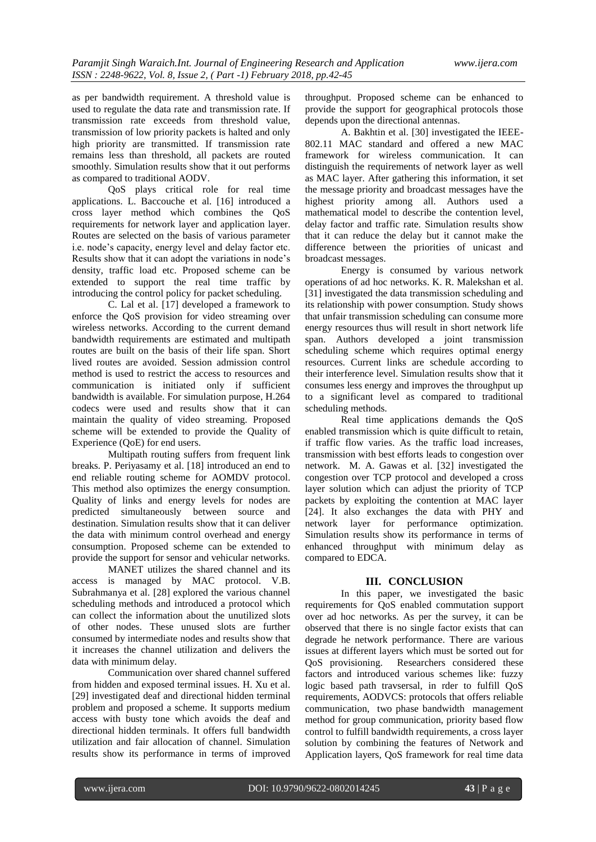as per bandwidth requirement. A threshold value is used to regulate the data rate and transmission rate. If transmission rate exceeds from threshold value, transmission of low priority packets is halted and only high priority are transmitted. If transmission rate remains less than threshold, all packets are routed smoothly. Simulation results show that it out performs as compared to traditional AODV.

QoS plays critical role for real time applications. L. Baccouche et al. [16] introduced a cross layer method which combines the QoS requirements for network layer and application layer. Routes are selected on the basis of various parameter i.e. node's capacity, energy level and delay factor etc. Results show that it can adopt the variations in node's density, traffic load etc. Proposed scheme can be extended to support the real time traffic by introducing the control policy for packet scheduling.

C. Lal et al. [17] developed a framework to enforce the QoS provision for video streaming over wireless networks. According to the current demand bandwidth requirements are estimated and multipath routes are built on the basis of their life span. Short lived routes are avoided. Session admission control method is used to restrict the access to resources and communication is initiated only if sufficient bandwidth is available. For simulation purpose, H.264 codecs were used and results show that it can maintain the quality of video streaming. Proposed scheme will be extended to provide the Quality of Experience (QoE) for end users.

Multipath routing suffers from frequent link breaks. P. Periyasamy et al. [18] introduced an end to end reliable routing scheme for AOMDV protocol. This method also optimizes the energy consumption. Quality of links and energy levels for nodes are predicted simultaneously between source and destination. Simulation results show that it can deliver the data with minimum control overhead and energy consumption. Proposed scheme can be extended to provide the support for sensor and vehicular networks.

MANET utilizes the shared channel and its access is managed by MAC protocol. V.B. Subrahmanya et al. [28] explored the various channel scheduling methods and introduced a protocol which can collect the information about the unutilized slots of other nodes. These unused slots are further consumed by intermediate nodes and results show that it increases the channel utilization and delivers the data with minimum delay.

Communication over shared channel suffered from hidden and exposed terminal issues. H. Xu et al. [29] investigated deaf and directional hidden terminal problem and proposed a scheme. It supports medium access with busty tone which avoids the deaf and directional hidden terminals. It offers full bandwidth utilization and fair allocation of channel. Simulation results show its performance in terms of improved throughput. Proposed scheme can be enhanced to provide the support for geographical protocols those depends upon the directional antennas.

A. Bakhtin et al. [30] investigated the IEEE-802.11 MAC standard and offered a new MAC framework for wireless communication. It can distinguish the requirements of network layer as well as MAC layer. After gathering this information, it set the message priority and broadcast messages have the highest priority among all. Authors used a mathematical model to describe the contention level, delay factor and traffic rate. Simulation results show that it can reduce the delay but it cannot make the difference between the priorities of unicast and broadcast messages.

Energy is consumed by various network operations of ad hoc networks. K. R. Malekshan et al. [31] investigated the data transmission scheduling and its relationship with power consumption. Study shows that unfair transmission scheduling can consume more energy resources thus will result in short network life span. Authors developed a joint transmission scheduling scheme which requires optimal energy resources. Current links are schedule according to their interference level. Simulation results show that it consumes less energy and improves the throughput up to a significant level as compared to traditional scheduling methods.

Real time applications demands the QoS enabled transmission which is quite difficult to retain, if traffic flow varies. As the traffic load increases, transmission with best efforts leads to congestion over network. M. A. Gawas et al. [32] investigated the congestion over TCP protocol and developed a cross layer solution which can adjust the priority of TCP packets by exploiting the contention at MAC layer [24]. It also exchanges the data with PHY and network layer for performance optimization. Simulation results show its performance in terms of enhanced throughput with minimum delay as compared to EDCA.

#### **III. CONCLUSION**

In this paper, we investigated the basic requirements for QoS enabled commutation support over ad hoc networks. As per the survey, it can be observed that there is no single factor exists that can degrade he network performance. There are various issues at different layers which must be sorted out for QoS provisioning. Researchers considered these factors and introduced various schemes like: fuzzy logic based path travsersal, in rder to fulfill QoS requirements, AODVCS: protocols that offers reliable communication, two phase bandwidth management method for group communication, priority based flow control to fulfill bandwidth requirements, a cross layer solution by combining the features of Network and Application layers, QoS framework for real time data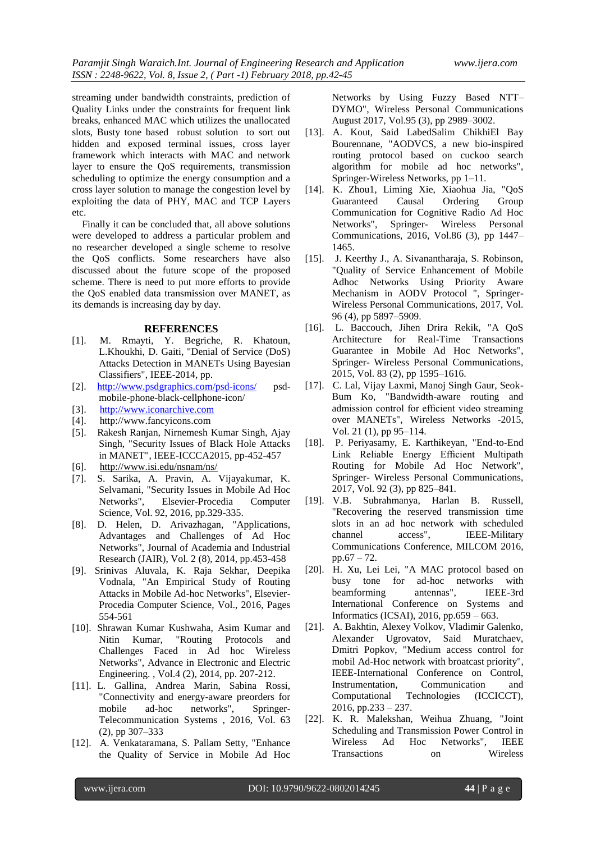streaming under bandwidth constraints, prediction of Quality Links under the constraints for frequent link breaks, enhanced MAC which utilizes the unallocated slots, Busty tone based robust solution to sort out hidden and exposed terminal issues, cross layer framework which interacts with MAC and network layer to ensure the QoS requirements, transmission scheduling to optimize the energy consumption and a cross layer solution to manage the congestion level by exploiting the data of PHY, MAC and TCP Layers etc.

Finally it can be concluded that, all above solutions were developed to address a particular problem and no researcher developed a single scheme to resolve the QoS conflicts. Some researchers have also discussed about the future scope of the proposed scheme. There is need to put more efforts to provide the QoS enabled data transmission over MANET, as its demands is increasing day by day.

#### **REFERENCES**

- [1]. M. Rmayti, Y. Begriche, R. Khatoun, L.Khoukhi, D. Gaiti, "Denial of Service (DoS) Attacks Detection in MANETs Using Bayesian Classifiers", IEEE-2014, pp.
- [2]. <http://www.psdgraphics.com/psd-icons/> psdmobile-phone-black-cellphone-icon/
- [3]. [http://www.iconarchive.com](http://www.iconarchive.com/)
- [4]. [http://www.fancyicons.com](http://www.fancyicons.com/)
- [5]. Rakesh Ranjan, Nirnemesh Kumar Singh, Ajay Singh, "Security Issues of Black Hole Attacks in MANET", IEEE-ICCCA2015, pp-452-457
- [6]. <http://www.isi.edu/nsnam/ns/>
- [7]. S. Sarika, A. Pravin, A. Vijayakumar, K. Selvamani, "Security Issues in Mobile Ad Hoc Networks", Elsevier-Procedia Computer Science, Vol. 92, 2016, pp.329-335.
- [8]. D. Helen, D. Arivazhagan, "Applications, Advantages and Challenges of Ad Hoc Networks", Journal of Academia and Industrial Research (JAIR), Vol. 2 (8), 2014, pp.453-458
- [9]. Srinivas Aluvala, K. Raja Sekhar, Deepika Vodnala, "An Empirical Study of Routing Attacks in Mobile Ad-hoc Networks", Elsevier-Procedia Computer Science, Vol., 2016, Pages 554-561
- [10]. Shrawan Kumar Kushwaha, Asim Kumar and Nitin Kumar, "Routing Protocols and Challenges Faced in Ad hoc Wireless Networks", Advance in Electronic and Electric Engineering. , Vol.4 (2), 2014, pp. 207-212.
- [11]. L. Gallina, Andrea Marin, Sabina Rossi, "Connectivity and energy-aware preorders for mobile ad-hoc networks", Springer-Telecommunication Systems , 2016, Vol. 63 (2), pp 307–333
- [12]. A. Venkataramana, S. Pallam Setty, "Enhance the Quality of Service in Mobile Ad Hoc

Networks by Using Fuzzy Based NTT– DYMO", Wireless Personal Communications August 2017, Vol.95 (3), pp 2989–3002.

- [13]. A. Kout, Said LabedSalim ChikhiEl Bay Bourennane, "AODVCS, a new bio-inspired routing protocol based on cuckoo search algorithm for mobile ad hoc networks", Springer-Wireless Networks, pp 1–11.
- [14]. K. Zhou1, Liming Xie, Xiaohua Jia, "QoS Guaranteed Causal Ordering Group Communication for Cognitive Radio Ad Hoc Networks", Springer- [Wireless Personal](https://link.springer.com/journal/11277)  [Communications,](https://link.springer.com/journal/11277) 2016, Vol.86 (3), pp 1447– 1465.
- [15]. J. Keerthy J., A. Sivanantharaja, S. Robinson, "Quality of Service Enhancement of Mobile Adhoc Networks Using Priority Aware Mechanism in AODV Protocol ", Springer-Wireless Personal Communications, 2017, Vol. 96 (4), pp 5897–5909.
- [16]. L. Baccouch, Jihen Drira Rekik, "A QoS Architecture for Real-Time Transactions Guarantee in Mobile Ad Hoc Networks", Springer- Wireless Personal Communications, 2015, Vol. 83 (2), pp 1595–1616.
- [17]. C. Lal, Vijay Laxmi, Manoj Singh Gaur, Seok-Bum Ko, "Bandwidth-aware routing and admission control for efficient video streaming over MANETs", [Wireless Networks](https://link.springer.com/journal/11276) -2015, Vol. 2[1 \(1\)](https://link.springer.com/journal/11276/21/1/page/1), pp 95–114.
- [18]. P. Periyasamy, E. Karthikeyan, "End-to-End Link Reliable Energy Efficient Multipath Routing for Mobile Ad Hoc Network", Springer- Wireless Personal Communications, 2017, Vol. 92 (3), pp 825–841.
- [19]. V.B. Subrahmanya, Harlan B. Russell, "Recovering the reserved transmission time slots in an ad hoc network with scheduled channel access", IEEE-Military Communications Conference, MILCOM 2016, pp.67 – 72.
- [20]. H. Xu, Lei Lei, "A MAC protocol based on busy tone for ad-hoc networks with beamforming antennas", IEEE-3rd International Conference on Systems and Informatics (ICSAI), 2016, pp.659 – 663.
- [21]. A. Bakhtin, Alexey Volkov, Vladimir Galenko, Alexander Ugrovatov, Said Muratchaev, Dmitri Popkov, "Medium access control for mobil Ad-Hoc network with broatcast priority", IEEE-International Conference on Control, Instrumentation, Communication and Computational Technologies (ICCICCT),  $2016$ , pp.233 – 237.
- [22]. K. R. Malekshan, Weihua Zhuang, "Joint Scheduling and Transmission Power Control in Wireless Ad Hoc Networks", IEEE Transactions on Wireless